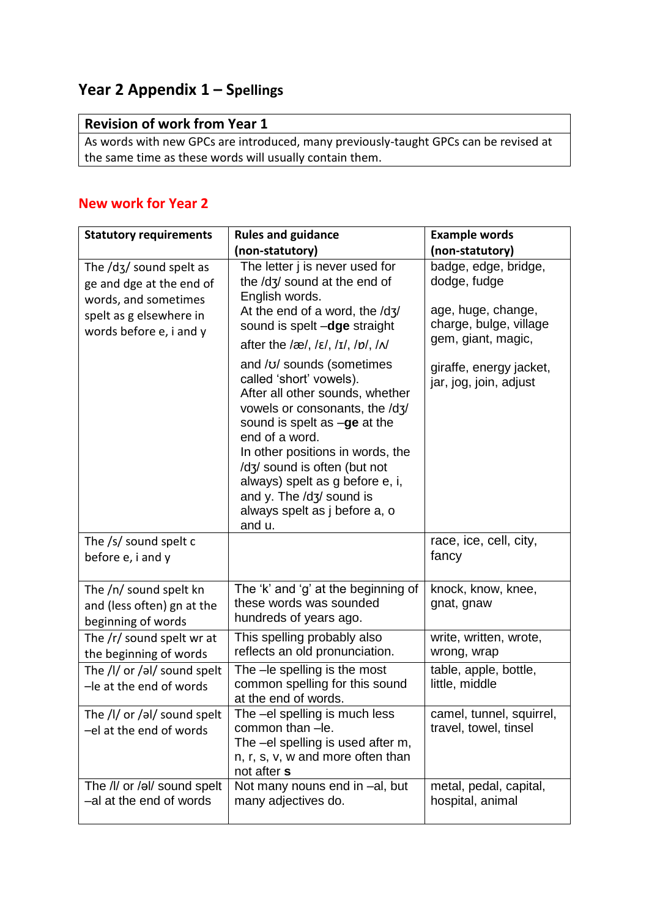## **Year 2 Appendix 1 – Spellings**

## **Revision of work from Year 1**

As words with new GPCs are introduced, many previously-taught GPCs can be revised at the same time as these words will usually contain them.

## **New work for Year 2**

| <b>Statutory requirements</b>                                                                                                     | <b>Rules and guidance</b>                                                                                                                                                                                                                                                                                                                                 | <b>Example words</b>                                               |
|-----------------------------------------------------------------------------------------------------------------------------------|-----------------------------------------------------------------------------------------------------------------------------------------------------------------------------------------------------------------------------------------------------------------------------------------------------------------------------------------------------------|--------------------------------------------------------------------|
|                                                                                                                                   | (non-statutory)                                                                                                                                                                                                                                                                                                                                           | (non-statutory)                                                    |
| The /d3/ sound spelt as<br>ge and dge at the end of<br>words, and sometimes<br>spelt as g elsewhere in<br>words before e, i and y | The letter j is never used for<br>the /dʒ/ sound at the end of<br>English words.                                                                                                                                                                                                                                                                          | badge, edge, bridge,<br>dodge, fudge                               |
|                                                                                                                                   | At the end of a word, the /d3/<br>sound is spelt -dge straight<br>after the /æ/, / $\varepsilon$ /, / $I$ /, / $p$ /, / $N$                                                                                                                                                                                                                               | age, huge, change,<br>charge, bulge, village<br>gem, giant, magic, |
|                                                                                                                                   | and /v/ sounds (sometimes<br>called 'short' vowels).<br>After all other sounds, whether<br>vowels or consonants, the /d3/<br>sound is spelt as -ge at the<br>end of a word.<br>In other positions in words, the<br>/dʒ/ sound is often (but not<br>always) spelt as g before e, i,<br>and y. The /dʒ/ sound is<br>always spelt as j before a, o<br>and u. | giraffe, energy jacket,<br>jar, jog, join, adjust                  |
| The /s/ sound spelt c<br>before e, i and y                                                                                        |                                                                                                                                                                                                                                                                                                                                                           | race, ice, cell, city,<br>fancy                                    |
| The /n/ sound spelt kn<br>and (less often) gn at the<br>beginning of words                                                        | The 'k' and 'g' at the beginning of<br>these words was sounded<br>hundreds of years ago.                                                                                                                                                                                                                                                                  | knock, know, knee,<br>gnat, gnaw                                   |
| The $/r/$ sound spelt wr at<br>the beginning of words                                                                             | This spelling probably also<br>reflects an old pronunciation.                                                                                                                                                                                                                                                                                             | write, written, wrote,<br>wrong, wrap                              |
| The /l/ or /al/ sound spelt<br>-le at the end of words                                                                            | The -le spelling is the most<br>common spelling for this sound<br>at the end of words.                                                                                                                                                                                                                                                                    | table, apple, bottle,<br>little, middle                            |
| The /l/ or /al/ sound spelt<br>-el at the end of words                                                                            | The -el spelling is much less<br>common than -le.<br>The -el spelling is used after m,<br>n, r, s, v, w and more often than<br>not after s                                                                                                                                                                                                                | camel, tunnel, squirrel,<br>travel, towel, tinsel                  |
| The /l/ or /əl/ sound spelt<br>-al at the end of words                                                                            | Not many nouns end in -al, but<br>many adjectives do.                                                                                                                                                                                                                                                                                                     | metal, pedal, capital,<br>hospital, animal                         |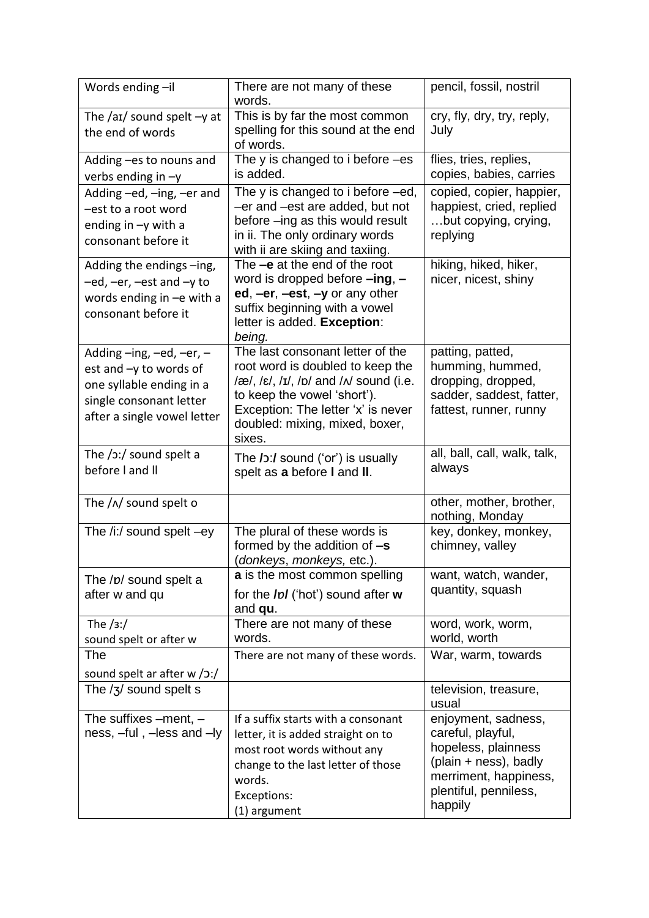| Words ending-il                                                                                                                                     | There are not many of these<br>words.                                                                                                                                                                                                                                             | pencil, fossil, nostril                                                                                                                    |
|-----------------------------------------------------------------------------------------------------------------------------------------------------|-----------------------------------------------------------------------------------------------------------------------------------------------------------------------------------------------------------------------------------------------------------------------------------|--------------------------------------------------------------------------------------------------------------------------------------------|
| The /aɪ/ sound spelt $-y$ at<br>the end of words                                                                                                    | This is by far the most common<br>spelling for this sound at the end<br>of words.                                                                                                                                                                                                 | cry, fly, dry, try, reply,<br>July                                                                                                         |
| Adding -es to nouns and<br>verbs ending in $-y$                                                                                                     | The y is changed to i before -es<br>is added.                                                                                                                                                                                                                                     | flies, tries, replies,<br>copies, babies, carries                                                                                          |
| Adding -ed, -ing, -er and<br>-est to a root word<br>ending in $-y$ with a<br>consonant before it                                                    | The y is changed to i before –ed,<br>-er and -est are added, but not<br>before -ing as this would result<br>in ii. The only ordinary words<br>with ii are skiing and taxiing.                                                                                                     | copied, copier, happier,<br>happiest, cried, replied<br>but copying, crying,<br>replying                                                   |
| Adding the endings -ing,<br>$-e$ d, $-e$ r, $-e$ st and $-y$ to<br>words ending in -e with a<br>consonant before it                                 | The -e at the end of the root<br>word is dropped before $-$ ing, $-$<br>ed, $-er$ , $-est$ , $-y$ or any other<br>suffix beginning with a vowel<br>letter is added. Exception:<br>being.                                                                                          | hiking, hiked, hiker,<br>nicer, nicest, shiny                                                                                              |
| Adding $-$ ing, $-$ ed, $-$ er, $-$<br>est and -y to words of<br>one syllable ending in a<br>single consonant letter<br>after a single vowel letter | The last consonant letter of the<br>root word is doubled to keep the<br>$\sqrt{\alpha}$ , $\sqrt{\epsilon}$ , $\sqrt{I}$ , $\sqrt{D}$ and $\sqrt{N}$ sound (i.e.<br>to keep the vowel 'short').<br>Exception: The letter 'x' is never<br>doubled: mixing, mixed, boxer,<br>sixes. | patting, patted,<br>humming, hummed,<br>dropping, dropped,<br>sadder, saddest, fatter,<br>fattest, runner, runny                           |
| The $/$ 3: $/$ sound spelt a<br>before I and II                                                                                                     | The $\overline{I}$ :/ sound ('or') is usually<br>spelt as a before I and II.                                                                                                                                                                                                      | all, ball, call, walk, talk,<br>always                                                                                                     |
| The $/\sqrt{N}$ sound spelt o                                                                                                                       |                                                                                                                                                                                                                                                                                   | other, mother, brother,<br>nothing, Monday                                                                                                 |
| The /i:/ sound spelt -ey                                                                                                                            | The plural of these words is<br>formed by the addition of $-s$<br>(donkeys, monkeys, etc.).                                                                                                                                                                                       | key, donkey, monkey,<br>chimney, valley                                                                                                    |
| The /p/ sound spelt a<br>after w and qu                                                                                                             | a is the most common spelling<br>for the <i>IpI</i> ('hot') sound after w<br>and <b>qu</b> .                                                                                                                                                                                      | want, watch, wander,<br>quantity, squash                                                                                                   |
| The $/3$ :/<br>sound spelt or after w                                                                                                               | There are not many of these<br>words.                                                                                                                                                                                                                                             | word, work, worm,<br>world, worth                                                                                                          |
| The<br>sound spelt ar after w /o:/                                                                                                                  | There are not many of these words.                                                                                                                                                                                                                                                | War, warm, towards                                                                                                                         |
| The $/3/$ sound spelt s                                                                                                                             |                                                                                                                                                                                                                                                                                   | television, treasure,<br>usual                                                                                                             |
| The suffixes $-$ ment, $-$<br>ness, -ful, -less and -ly                                                                                             | If a suffix starts with a consonant<br>letter, it is added straight on to<br>most root words without any<br>change to the last letter of those<br>words.<br>Exceptions:                                                                                                           | enjoyment, sadness,<br>careful, playful,<br>hopeless, plainness<br>(plain + ness), badly<br>merriment, happiness,<br>plentiful, penniless, |